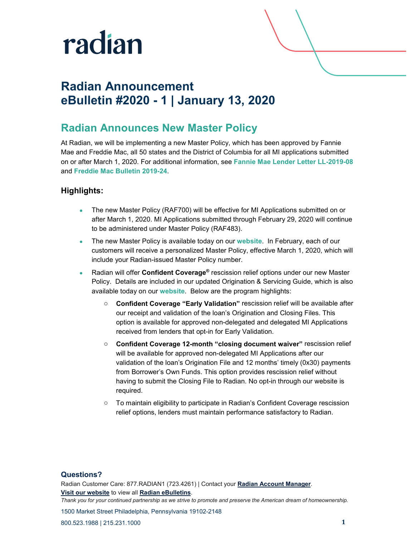

## **Radian Announcement eBulletin #2020 - 1 | January 13, 2020**

### **Radian Announces New Master Policy**

At Radian, we will be implementing a new Master Policy, which has been approved by Fannie Mae and Freddie Mac, all 50 states and the District of Columbia for all MI applications submitted on or after March 1, 2020. For additional information, see **[Fannie Mae Lender Letter LL-2019-08](https://www.fanniemae.com/content/announcement/ll1908.pdf)** and **[Freddie Mac Bulletin 2019-24](https://guide.freddiemac.com/app/guide/bulletin/2019-24)**.

#### **Highlights:**

- The new Master Policy (RAF700) will be effective for MI Applications submitted on or after March 1, 2020. MI Applications submitted through February 29, 2020 will continue to be administered under Master Policy (RAF483).
- The new Master Policy is available today on our **[website](https://www.radian.biz/sfc/servlet.shepherd/version/download/0683c000007t5WKAAY)**. In February, each of our customers will receive a personalized Master Policy, effective March 1, 2020, which will include your Radian-issued Master Policy number.
- Radian will offer **Confident Coverage®** rescission relief options under our new Master Policy. Details are included in our updated Origination & Servicing Guide, which is also available today on our **[website](https://www.radian.biz/sfc/servlet.shepherd/version/download/0683c000007tDKvAAM)**. Below are the program highlights:
	- o **Confident Coverage "Early Validation"** rescission relief will be available after our receipt and validation of the loan's Origination and Closing Files. This option is available for approved non-delegated and delegated MI Applications received from lenders that opt-in for Early Validation.
	- o **Confident Coverage 12-month "closing document waiver"** rescission relief will be available for approved non-delegated MI Applications after our validation of the loan's Origination File and 12 months' timely (0x30) payments from Borrower's Own Funds. This option provides rescission relief without having to submit the Closing File to Radian. No opt-in through our website is required.
	- o To maintain eligibility to participate in Radian's Confident Coverage rescission relief options, lenders must maintain performance satisfactory to Radian.

#### **Questions?**

Radian Customer Care: 877.RADIAN1 (723.4261) | Contact your **[Radian Account Manager](http://www.radian.biz/page?name=SalesRepFinder)**. **[Visit our website](https://www.radian.biz/page?name=HomePage)** to view all **[Radian eBulletins](http://www.radian.biz/page?name=RadianEbulletins)**. *Thank you for your continued partnership as we strive to promote and preserve the American dream of homeownership.*

1500 Market Street Philadelphia, Pennsylvania 19102-2148